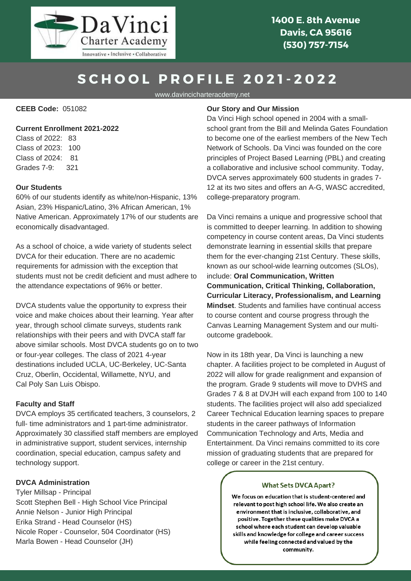

**1400 E. 8th Avenue Davis, CA 95616 (530) 757-7154**

# **S C H O O L P R O F I L E 2 0 2 1 - 2 0 2 2**

www.davincicharteracdemy.net

**CEEB Code:** 051082

# **Current Enrollment 2021-2022**

Class of 2022: 83 Class of 2023: 100 Class of 2024: 81 Grades 7-9: 321

#### **Our Students**

60% of our students identify as white/non-Hispanic, 13% Asian, 23% Hispanic/Latino, 3% African American, 1% Native American. Approximately 17% of our students are economically disadvantaged.

As a school of choice, a wide variety of students select DVCA for their education. There are no academic requirements for admission with the exception that students must not be credit deficient and must adhere to the attendance expectations of 96% or better.

DVCA students value the opportunity to express their voice and make choices about their learning. Year after year, through school climate surveys, students rank relationships with their peers and with DVCA staff far above similar schools. Most DVCA students go on to two or four-year colleges. The class of 2021 4-year destinations included UCLA, UC-Berkeley, UC-Santa Cruz, Oberlin, Occidental, Willamette, NYU, and Cal Poly San Luis Obispo.

### **Faculty and Staff**

DVCA employs 35 certificated teachers, 3 counselors, 2 full- time administrators and 1 part-time administrator. Approximately 30 classified staff members are employed in administrative support, student services, internship coordination, special education, campus safety and technology support.

# **DVCA Administration**

Tyler Millsap - Principal Scott Stephen Bell - High School Vice Principal Annie Nelson - Junior High Principal Erika Strand - Head Counselor (HS) Nicole Roper - Counselor, 504 Coordinator (HS) Marla Bowen - Head Counselor (JH)

### **Our Story and Our Mission**

Da Vinci High school opened in 2004 with a smallschool grant from the Bill and Melinda Gates Foundation to become one of the earliest members of the New Tech Network of Schools. Da Vinci was founded on the core principles of Project Based Learning (PBL) and creating a collaborative and inclusive school community. Today, DVCA serves approximately 600 students in grades 7- 12 at its two sites and offers an A-G, WASC accredited, college-preparatory program.

Da Vinci remains a unique and progressive school that is committed to deeper learning. In addition to showing competency in course content areas, Da Vinci students demonstrate learning in essential skills that prepare them for the ever-changing 21st Century. These skills, known as our school-wide learning outcomes (SLOs), include: **Oral Communication, Written Communication, Critical Thinking, Collaboration, Curricular Literacy, Professionalism, and Learning Mindset**. Students and families have continual access to course content and course progress through the Canvas Learning Management System and our multioutcome gradebook.

Now in its 18th year, Da Vinci is launching a new chapter. A facilities project to be completed in August of 2022 will allow for grade realignment and expansion of the program. Grade 9 students will move to DVHS and Grades 7 & 8 at DVJH will each expand from 100 to 140 students. The facilities project will also add specialized Career Technical Education learning spaces to prepare students in the career pathways of Information Communication Technology and Arts, Media and Entertainment. Da Vinci remains committed to its core mission of graduating students that are prepared for college or career in the 21st century.

#### **What Sets DVCA Apart?**

We focus on education that is student-centered and relevant to post high school life. We also create an environment that is inclusive, collaborative, and positive. Together these qualities make DVCA a school where each student can develop valuable skills and knowledge for college and career success while feeling connected and valued by the community.